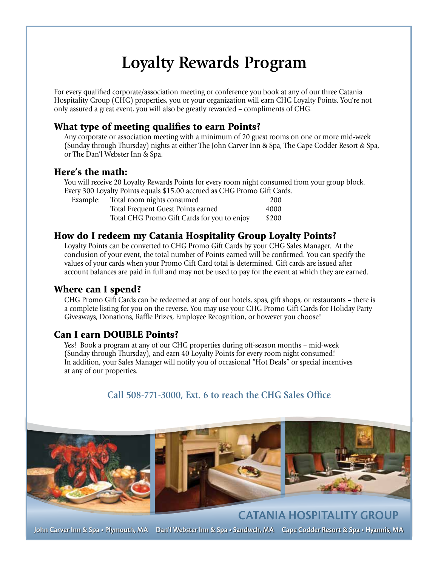# **Loyalty Rewards Program**

For every qualified corporate/association meeting or conference you book at any of our three Catania Hospitality Group (CHG) properties, you or your organization will earn CHG Loyalty Points. You're not only assured a great event, you will also be greatly rewarded – compliments of CHG.

## What type of meeting qualifies to earn Points?

Any corporate or association meeting with a minimum of 20 guest rooms on one or more mid-week (Sunday through Thursday) nights at either The John Carver Inn & Spa, The Cape Codder Resort & Spa, or The Dan'l Webster Inn & Spa.

### Here's the math:

You will receive 20 Loyalty Rewards Points for every room night consumed from your group block. Every 300 Loyalty Points equals \$15.00 accrued as CHG Promo Gift Cards.

| Example: | Total room nights consumed                  | 200   |
|----------|---------------------------------------------|-------|
|          | Total Frequent Guest Points earned          | 4000  |
|          | Total CHG Promo Gift Cards for you to enjoy | \$200 |

### How do I redeem my Catania Hospitality Group Loyalty Points?

Loyalty Points can be converted to CHG Promo Gift Cards by your CHG Sales Manager. At the conclusion of your event, the total number of Points earned will be confirmed. You can specify the values of your cards when your Promo Gift Card total is determined. Gift cards are issued after account balances are paid in full and may not be used to pay for the event at which they are earned.

#### Where can I spend?

CHG Promo Gift Cards can be redeemed at any of our hotels, spas, gift shops, or restaurants – there is a complete listing for you on the reverse. You may use your CHG Promo Gift Cards for Holiday Party Giveaways, Donations, Raffle Prizes, Employee Recognition, or however you choose!

#### Can I earn DOUBLE Points?

Yes! Book a program at any of our CHG properties during off-season months – mid-week (Sunday through Thursday), and earn 40 Loyalty Points for every room night consumed! In addition, your Sales Manager will notify you of occasional "Hot Deals" or special incentives at any of our properties.

## **Call 508-771-3000, Ext. 6 to reach the CHG Sales Office**



**John Carver Inn & Spa • Plymouth, MA Dan'l Webster Inn & Spa • Sandwch, MA Cape Codder Resort & Spa • Hyannis, MA CATANIA HOSPITALITY GROUP**